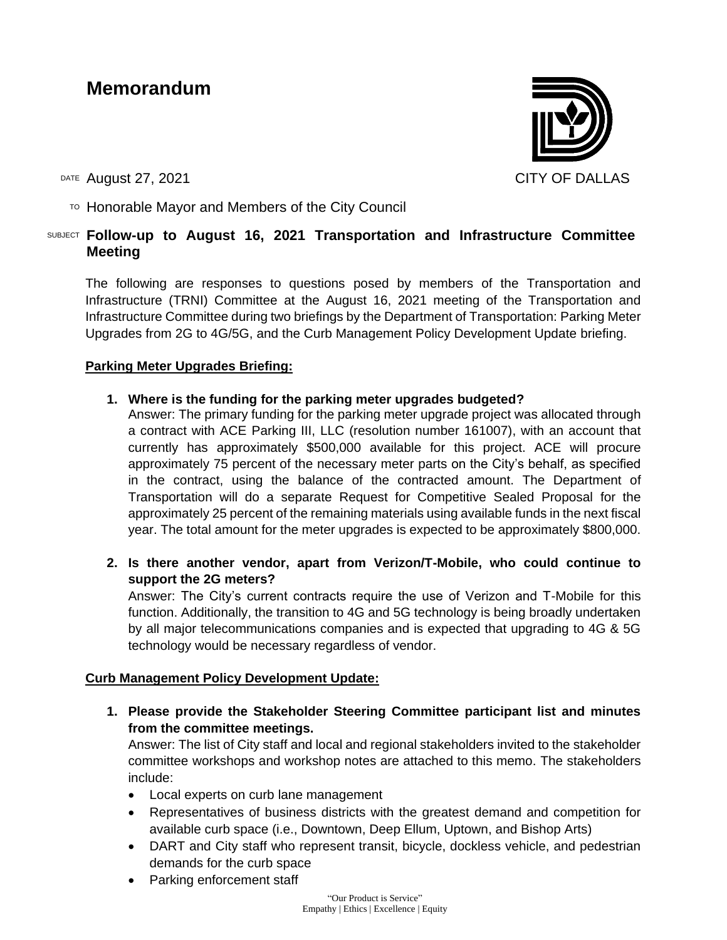# **Memorandum**

DATE August 27, 2021 CITY OF DALLAS

 $\overline{P}$  Honorable Mayor and Members of the City Council

#### SUBJECT **Follow-up to August 16, 2021 Transportation and Infrastructure Committee Meeting**

The following are responses to questions posed by members of the Transportation and Infrastructure (TRNI) Committee at the August 16, 2021 meeting of the Transportation and Infrastructure Committee during two briefings by the Department of Transportation: Parking Meter Upgrades from 2G to 4G/5G, and the Curb Management Policy Development Update briefing.

#### **Parking Meter Upgrades Briefing:**

#### **1. Where is the funding for the parking meter upgrades budgeted?**

Answer: The primary funding for the parking meter upgrade project was allocated through a contract with ACE Parking III, LLC (resolution number 161007), with an account that currently has approximately \$500,000 available for this project. ACE will procure approximately 75 percent of the necessary meter parts on the City's behalf, as specified in the contract, using the balance of the contracted amount. The Department of Transportation will do a separate Request for Competitive Sealed Proposal for the approximately 25 percent of the remaining materials using available funds in the next fiscal year. The total amount for the meter upgrades is expected to be approximately \$800,000.

**2. Is there another vendor, apart from Verizon/T-Mobile, who could continue to support the 2G meters?**

Answer: The City's current contracts require the use of Verizon and T-Mobile for this function. Additionally, the transition to 4G and 5G technology is being broadly undertaken by all major telecommunications companies and is expected that upgrading to 4G & 5G technology would be necessary regardless of vendor.

#### **Curb Management Policy Development Update:**

**1. Please provide the Stakeholder Steering Committee participant list and minutes from the committee meetings.**

Answer: The list of City staff and local and regional stakeholders invited to the stakeholder committee workshops and workshop notes are attached to this memo. The stakeholders include:

- Local experts on curb lane management
- Representatives of business districts with the greatest demand and competition for available curb space (i.e., Downtown, Deep Ellum, Uptown, and Bishop Arts)
- DART and City staff who represent transit, bicycle, dockless vehicle, and pedestrian demands for the curb space
- Parking enforcement staff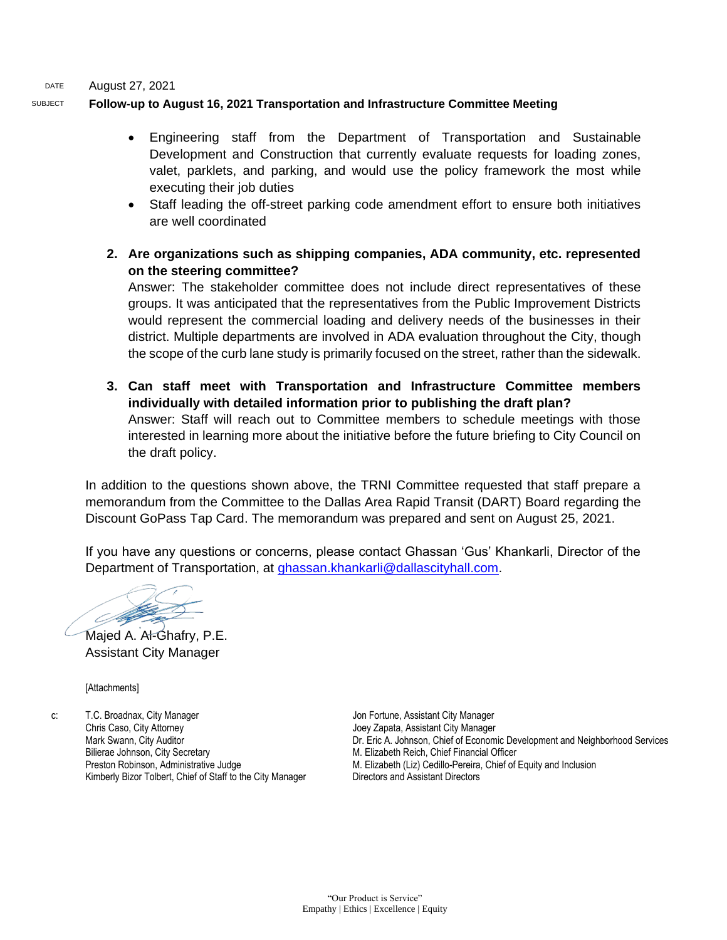DATE August 27, 2021

#### SUBJECT **Follow-up to August 16, 2021 Transportation and Infrastructure Committee Meeting**

- Engineering staff from the Department of Transportation and Sustainable Development and Construction that currently evaluate requests for loading zones, valet, parklets, and parking, and would use the policy framework the most while executing their job duties
- Staff leading the off-street parking code amendment effort to ensure both initiatives are well coordinated
- **2. Are organizations such as shipping companies, ADA community, etc. represented on the steering committee?**

Answer: The stakeholder committee does not include direct representatives of these groups. It was anticipated that the representatives from the Public Improvement Districts would represent the commercial loading and delivery needs of the businesses in their district. Multiple departments are involved in ADA evaluation throughout the City, though the scope of the curb lane study is primarily focused on the street, rather than the sidewalk.

**3. Can staff meet with Transportation and Infrastructure Committee members individually with detailed information prior to publishing the draft plan?**  Answer: Staff will reach out to Committee members to schedule meetings with those interested in learning more about the initiative before the future briefing to City Council on the draft policy.

In addition to the questions shown above, the TRNI Committee requested that staff prepare a memorandum from the Committee to the Dallas Area Rapid Transit (DART) Board regarding the Discount GoPass Tap Card. The memorandum was prepared and sent on August 25, 2021.

If you have any questions or concerns, please contact Ghassan 'Gus' Khankarli, Director of the Department of Transportation, at [ghassan.khankarli@dallascityhall.com.](mailto:ghassan.khankarli@dallascityhall.com)

Majed A. Al-Ghafry, P.E. Assistant City Manager

[Attachments]

c: T.C. Broadnax, City Manager Chris Caso, City Attorney Mark Swann, City Auditor Bilierae Johnson, City Secretary Preston Robinson, Administrative Judge Kimberly Bizor Tolbert, Chief of Staff to the City Manager

Jon Fortune, Assistant City Manager Joey Zapata, Assistant City Manager Dr. Eric A. Johnson, Chief of Economic Development and Neighborhood Services M. Elizabeth Reich, Chief Financial Officer M. Elizabeth (Liz) Cedillo-Pereira, Chief of Equity and Inclusion Directors and Assistant Directors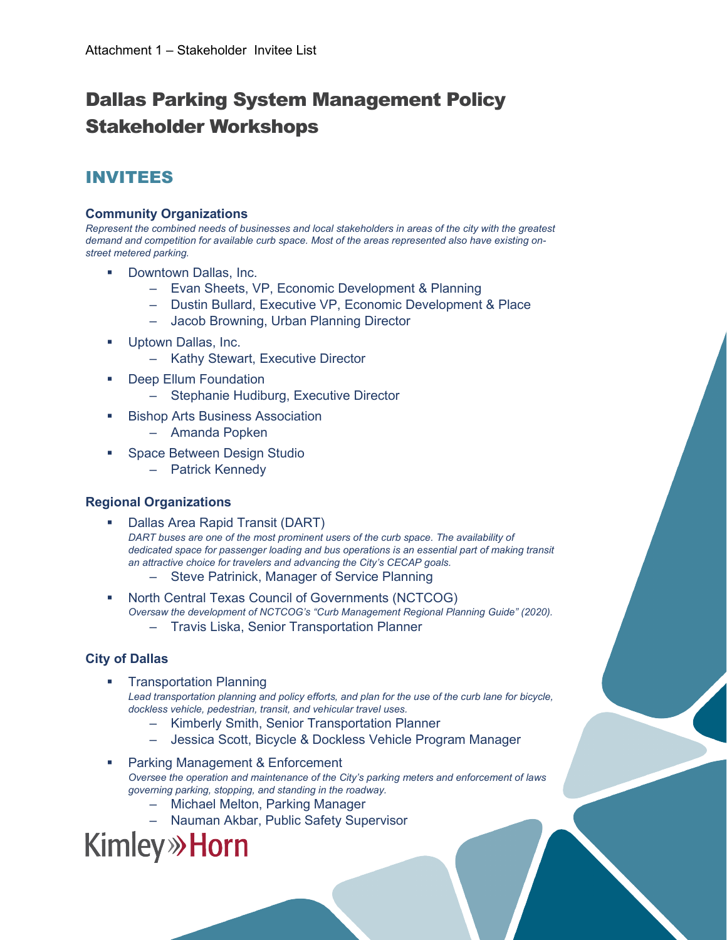# Dallas Parking System Management Policy Stakeholder Workshops

### INVITEES

#### **Community Organizations**

*Represent the combined needs of businesses and local stakeholders in areas of the city with the greatest demand and competition for available curb space. Most of the areas represented also have existing onstreet metered parking.*

- Downtown Dallas, Inc.
	- Evan Sheets, VP, Economic Development & Planning
	- Dustin Bullard, Executive VP, Economic Development & Place
	- Jacob Browning, Urban Planning Director
- Uptown Dallas, Inc.
	- Kathy Stewart, Executive Director
- Deep Ellum Foundation
	- Stephanie Hudiburg, Executive Director
- Bishop Arts Business Association
	- Amanda Popken
- Space Between Design Studio
	- Patrick Kennedy

#### **Regional Organizations**

- Dallas Area Rapid Transit (DART) *DART buses are one of the most prominent users of the curb space. The availability of*  dedicated space for passenger loading and bus operations is an essential part of making transit *an attractive choice for travelers and advancing the City's CECAP goals.*
	- Steve Patrinick, Manager of Service Planning
- North Central Texas Council of Governments (NCTCOG) *Oversaw the development of NCTCOG's "Curb Management Regional Planning Guide" (2020).*
	- Travis Liska, Senior Transportation Planner

#### **City of Dallas**

- Transportation Planning Lead transportation planning and policy efforts, and plan for the use of the curb lane for bicycle, *dockless vehicle, pedestrian, transit, and vehicular travel uses.*
	- Kimberly Smith, Senior Transportation Planner
	- Jessica Scott, Bicycle & Dockless Vehicle Program Manager
- Parking Management & Enforcement *Oversee the operation and maintenance of the City's parking meters and enforcement of laws governing parking, stopping, and standing in the roadway.*
	- Michael Melton, Parking Manager
	- Nauman Akbar, Public Safety Supervisor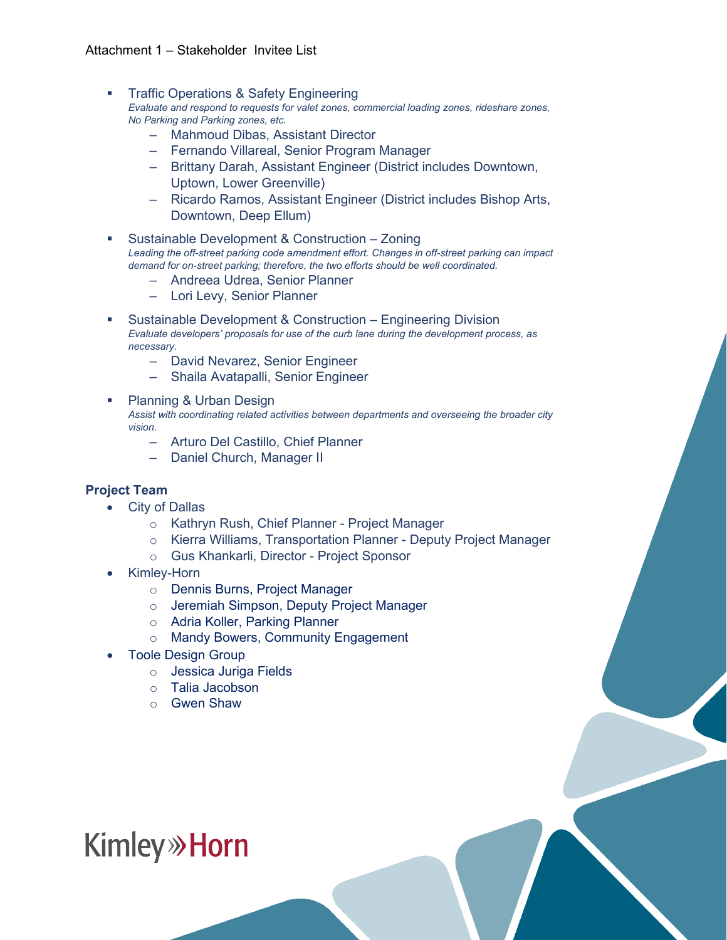- Traffic Operations & Safety Engineering *Evaluate and respond to requests for valet zones, commercial loading zones, rideshare zones, No Parking and Parking zones, etc.*
	- Mahmoud Dibas, Assistant Director
	- Fernando Villareal, Senior Program Manager
	- Brittany Darah, Assistant Engineer (District includes Downtown, Uptown, Lower Greenville)
	- Ricardo Ramos, Assistant Engineer (District includes Bishop Arts, Downtown, Deep Ellum)
- Sustainable Development & Construction Zoning *Leading the off-street parking code amendment effort. Changes in off-street parking can impact demand for on-street parking; therefore, the two efforts should be well coordinated.*
	- Andreea Udrea, Senior Planner
	- Lori Levy, Senior Planner
- Sustainable Development & Construction Engineering Division *Evaluate developers' proposals for use of the curb lane during the development process, as necessary.*
	- David Nevarez, Senior Engineer
	- Shaila Avatapalli, Senior Engineer
- Planning & Urban Design *Assist with coordinating related activities between departments and overseeing the broader city vision.*
	- Arturo Del Castillo, Chief Planner
	- Daniel Church, Manager II

#### **Project Team**

- City of Dallas
	- o Kathryn Rush, Chief Planner Project Manager
	- o Kierra Williams, Transportation Planner Deputy Project Manager
	- o Gus Khankarli, Director Project Sponsor
- Kimley-Horn
	- o Dennis Burns, Project Manager
	- o Jeremiah Simpson, Deputy Project Manager
	- o Adria Koller, Parking Planner
	- o Mandy Bowers, Community Engagement
- Toole Design Group
	- o Jessica Juriga Fields
	- o Talia Jacobson
	- o Gwen Shaw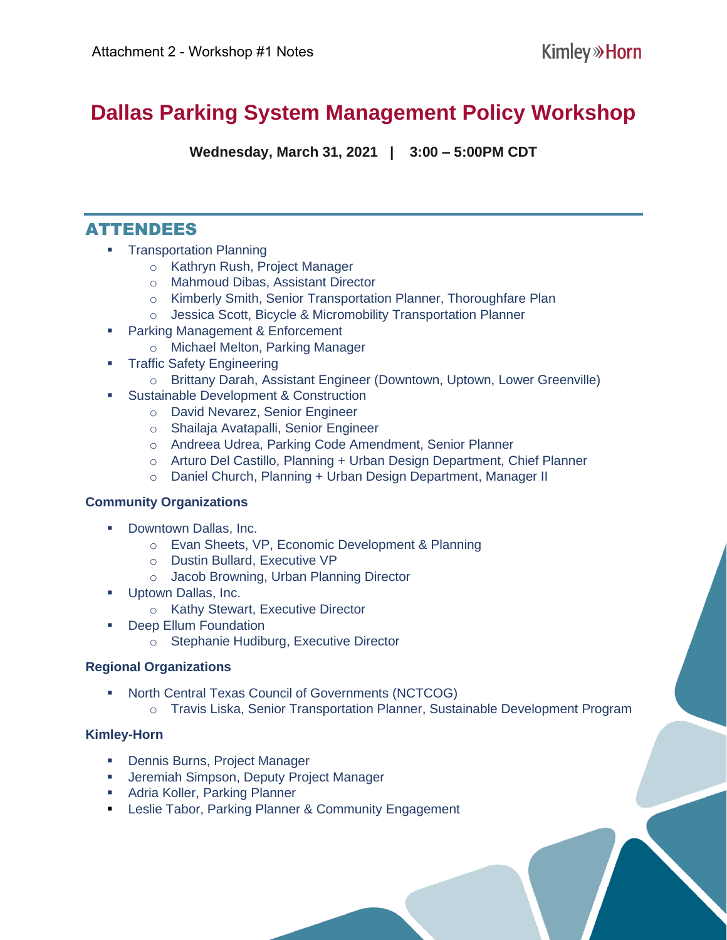# **Dallas Parking System Management Policy Workshop**

**Wednesday, March 31, 2021 | 3:00 – 5:00PM CDT**

### ATTENDEES

- **EXECUTE:** Transportation Planning
	- o Kathryn Rush, Project Manager
	- o Mahmoud Dibas, Assistant Director
	- o Kimberly Smith, Senior Transportation Planner, Thoroughfare Plan
	- o Jessica Scott, Bicycle & Micromobility Transportation Planner
- Parking Management & Enforcement
	- o Michael Melton, Parking Manager
- **Traffic Safety Engineering** 
	- o Brittany Darah, Assistant Engineer (Downtown, Uptown, Lower Greenville)
- **EXEC** Sustainable Development & Construction
	- o David Nevarez, Senior Engineer
	- o Shailaja Avatapalli, Senior Engineer
	- o Andreea Udrea, Parking Code Amendment, Senior Planner
	- o Arturo Del Castillo, Planning + Urban Design Department, Chief Planner
	- o Daniel Church, Planning + Urban Design Department, Manager II

#### **Community Organizations**

- Downtown Dallas, Inc.
	- o Evan Sheets, VP, Economic Development & Planning
	- o Dustin Bullard, Executive VP
	- o Jacob Browning, Urban Planning Director
- Uptown Dallas, Inc.
	- o Kathy Stewart, Executive Director
- Deep Ellum Foundation
	- o Stephanie Hudiburg, Executive Director

#### **Regional Organizations**

- **North Central Texas Council of Governments (NCTCOG)** 
	- o Travis Liska, Senior Transportation Planner, Sustainable Development Program

- Dennis Burns, Project Manager
- **■** Jeremiah Simpson, Deputy Project Manager
- **EXEDENT Adria Koller, Parking Planner**
- **EXELGE FIREL** Farking Planner & Community Engagement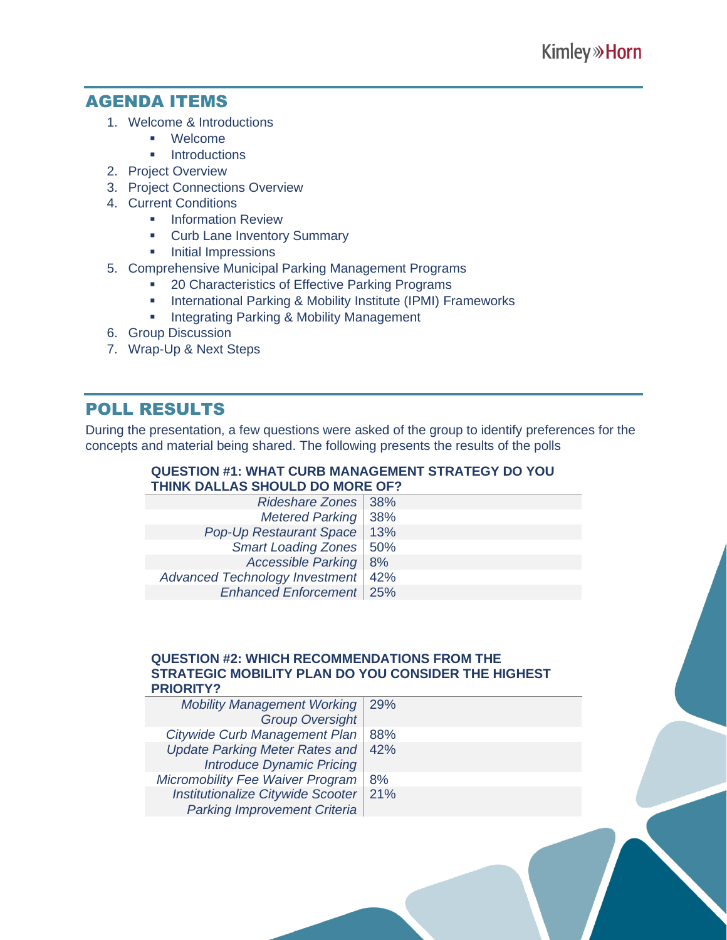### AGENDA ITEMS

- 1. Welcome & Introductions
	- Welcome
	- **■** Introductions
- 2. Project Overview
- 3. Project Connections Overview
- 4. Current Conditions
	- **Information Review**
	- **Curb Lane Inventory Summary**
	- **·** Initial Impressions
- 5. Comprehensive Municipal Parking Management Programs
	- 20 Characteristics of Effective Parking Programs
	- **·** International Parking & Mobility Institute (IPMI) Frameworks
	- **Integrating Parking & Mobility Management**
- 6. Group Discussion
- 7. Wrap-Up & Next Steps

### POLL RESULTS

During the presentation, a few questions were asked of the group to identify preferences for the concepts and material being shared. The following presents the results of the polls

#### **QUESTION #1: WHAT CURB MANAGEMENT STRATEGY DO YOU THINK DALLAS SHOULD DO MORE OF?**

| Rideshare Zones   38%                |  |  |
|--------------------------------------|--|--|
| Metered Parking   38%                |  |  |
| Pop-Up Restaurant Space   13%        |  |  |
| Smart Loading Zones   50%            |  |  |
| Accessible Parking   8%              |  |  |
| Advanced Technology Investment   42% |  |  |
| Enhanced Enforcement   25%           |  |  |
|                                      |  |  |

#### **QUESTION #2: WHICH RECOMMENDATIONS FROM THE STRATEGIC MOBILITY PLAN DO YOU CONSIDER THE HIGHEST PRIORITY?**

| <b>Mobility Management Working</b>    | 29% |
|---------------------------------------|-----|
| <b>Group Oversight</b>                |     |
| Citywide Curb Management Plan         | 88% |
| <b>Update Parking Meter Rates and</b> | 42% |
| <b>Introduce Dynamic Pricing</b>      |     |
| Micromobility Fee Waiver Program      | 8%  |
| Institutionalize Citywide Scooter     | 21% |
| <b>Parking Improvement Criteria</b>   |     |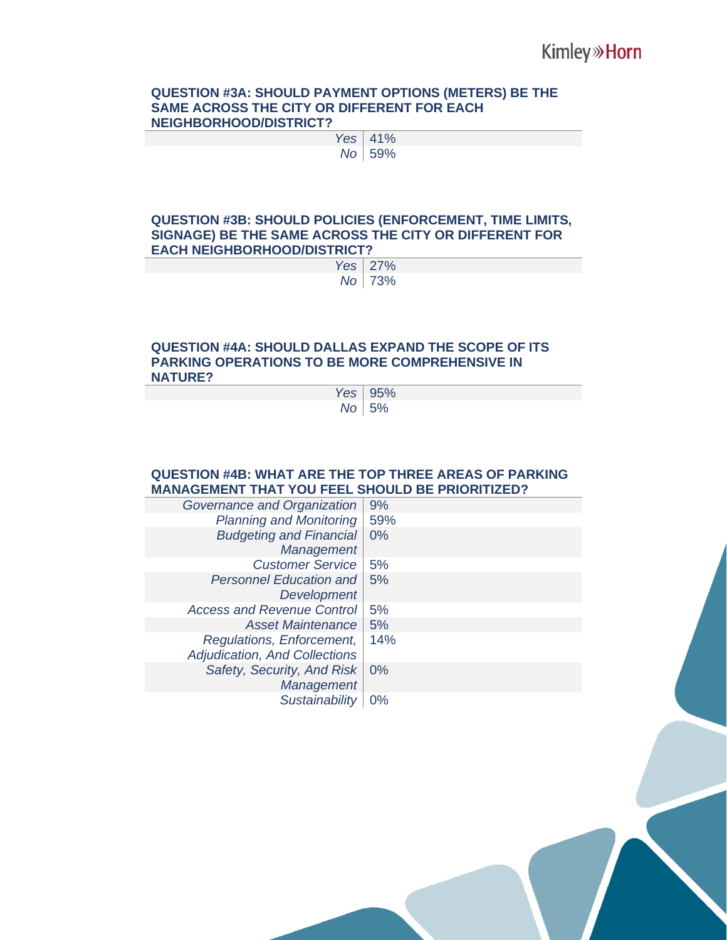#### **QUESTION #3A: SHOULD PAYMENT OPTIONS (METERS) BE THE SAME ACROSS THE CITY OR DIFFERENT FOR EACH NEIGHBORHOOD/DISTRICT?**

| Yes | 41% |
|-----|-----|
| No  | 59% |

#### **QUESTION #3B: SHOULD POLICIES (ENFORCEMENT, TIME LIMITS, SIGNAGE) BE THE SAME ACROSS THE CITY OR DIFFERENT FOR EACH NEIGHBORHOOD/DISTRICT?**

| Yes | 27% |
|-----|-----|
| Nο  | 73% |

#### **QUESTION #4A: SHOULD DALLAS EXPAND THE SCOPE OF ITS PARKING OPERATIONS TO BE MORE COMPREHENSIVE IN NATURE?**

| Yes I | 95%     |
|-------|---------|
|       | No   5% |

#### **QUESTION #4B: WHAT ARE THE TOP THREE AREAS OF PARKING MANAGEMENT THAT YOU FEEL SHOULD BE PRIORITIZED?**

| Governance and Organization       | 9%    |
|-----------------------------------|-------|
| <b>Planning and Monitoring</b>    | 59%   |
| <b>Budgeting and Financial</b>    | $0\%$ |
| Management                        |       |
| <b>Customer Service</b>           | 5%    |
| <b>Personnel Education and</b>    | 5%    |
| Development                       |       |
| <b>Access and Revenue Control</b> | 5%    |
| <b>Asset Maintenance</b>          | 5%    |
| Regulations, Enforcement,         | 14%   |
| Adjudication, And Collections     |       |
| Safety, Security, And Risk        | $0\%$ |
| <b>Management</b>                 |       |
| <b>Sustainability</b>             | $0\%$ |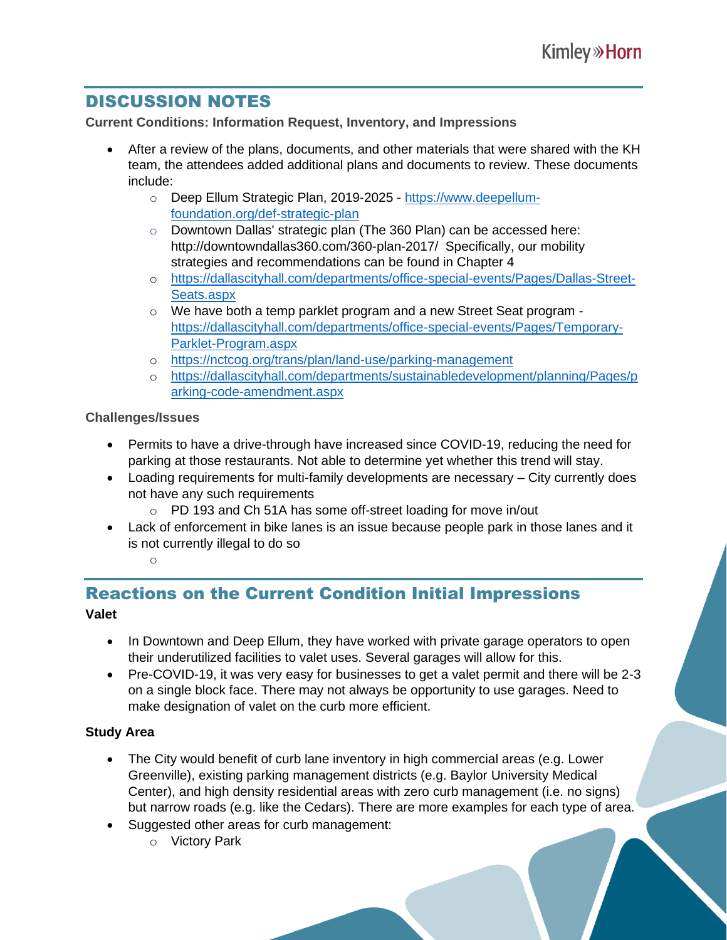## DISCUSSION NOTES

**Current Conditions: Information Request, Inventory, and Impressions**

- After a review of the plans, documents, and other materials that were shared with the KH team, the attendees added additional plans and documents to review. These documents include:
	- o Deep Ellum Strategic Plan, 2019-2025 [https://www.deepellum](https://www.deepellum-foundation.org/def-strategic-plan)[foundation.org/def-strategic-plan](https://www.deepellum-foundation.org/def-strategic-plan)
	- o Downtown Dallas' strategic plan (The 360 Plan) can be accessed here: http://downtowndallas360.com/360-plan-2017/ Specifically, our mobility strategies and recommendations can be found in Chapter 4
	- o [https://dallascityhall.com/departments/office-special-events/Pages/Dallas-Street-](https://dallascityhall.com/departments/office-special-events/Pages/Dallas-Street-Seats.aspx)[Seats.aspx](https://dallascityhall.com/departments/office-special-events/Pages/Dallas-Street-Seats.aspx)
	- o We have both a temp parklet program and a new Street Seat program [https://dallascityhall.com/departments/office-special-events/Pages/Temporary-](https://dallascityhall.com/departments/office-special-events/Pages/Temporary-Parklet-Program.aspx)[Parklet-Program.aspx](https://dallascityhall.com/departments/office-special-events/Pages/Temporary-Parklet-Program.aspx)
	- o <https://nctcog.org/trans/plan/land-use/parking-management>
	- o [https://dallascityhall.com/departments/sustainabledevelopment/planning/Pages/p](https://dallascityhall.com/departments/sustainabledevelopment/planning/Pages/parking-code-amendment.aspx) [arking-code-amendment.aspx](https://dallascityhall.com/departments/sustainabledevelopment/planning/Pages/parking-code-amendment.aspx)

#### **Challenges/Issues**

- Permits to have a drive-through have increased since COVID-19, reducing the need for parking at those restaurants. Not able to determine yet whether this trend will stay.
- Loading requirements for multi-family developments are necessary City currently does not have any such requirements
	- o PD 193 and Ch 51A has some off-street loading for move in/out
- Lack of enforcement in bike lanes is an issue because people park in those lanes and it is not currently illegal to do so

#### o

# Reactions on the Current Condition Initial Impressions

#### **Valet**

- In Downtown and Deep Ellum, they have worked with private garage operators to open their underutilized facilities to valet uses. Several garages will allow for this.
- Pre-COVID-19, it was very easy for businesses to get a valet permit and there will be 2-3 on a single block face. There may not always be opportunity to use garages. Need to make designation of valet on the curb more efficient.

#### **Study Area**

- The City would benefit of curb lane inventory in high commercial areas (e.g. Lower Greenville), existing parking management districts (e.g. Baylor University Medical Center), and high density residential areas with zero curb management (i.e. no signs) but narrow roads (e.g. like the Cedars). There are more examples for each type of area.
- Suggested other areas for curb management:
	- o Victory Park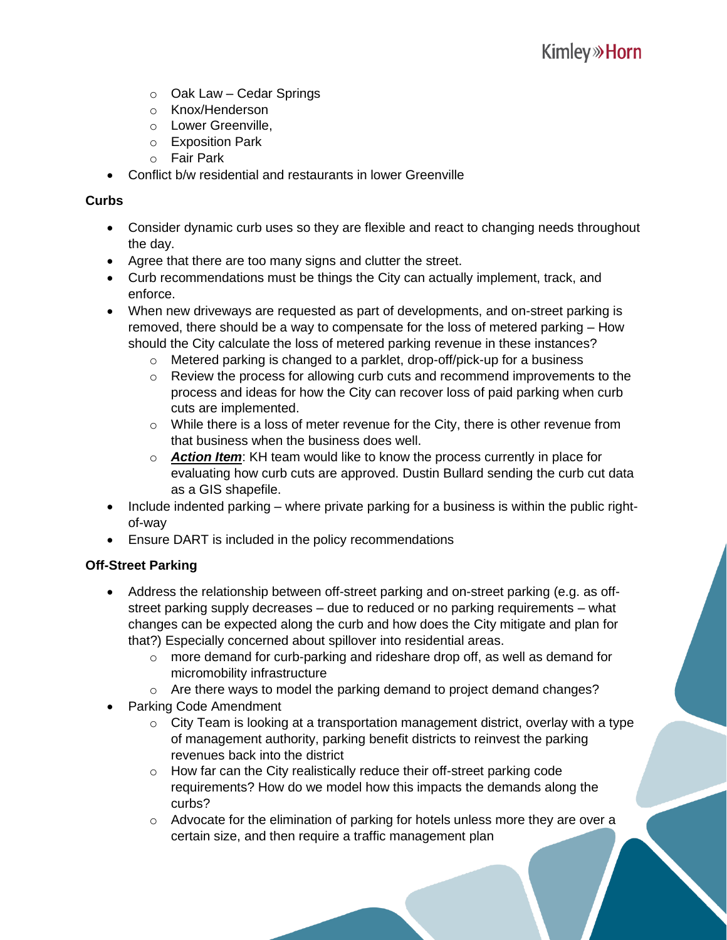- $\circ$  Oak Law Cedar Springs
- o Knox/Henderson
- o Lower Greenville,
- o Exposition Park
- o Fair Park
- Conflict b/w residential and restaurants in lower Greenville

#### **Curbs**

- Consider dynamic curb uses so they are flexible and react to changing needs throughout the day.
- Agree that there are too many signs and clutter the street.
- Curb recommendations must be things the City can actually implement, track, and enforce.
- When new driveways are requested as part of developments, and on-street parking is removed, there should be a way to compensate for the loss of metered parking – How should the City calculate the loss of metered parking revenue in these instances?
	- o Metered parking is changed to a parklet, drop-off/pick-up for a business
	- o Review the process for allowing curb cuts and recommend improvements to the process and ideas for how the City can recover loss of paid parking when curb cuts are implemented.
	- o While there is a loss of meter revenue for the City, there is other revenue from that business when the business does well.
	- o *Action Item*: KH team would like to know the process currently in place for evaluating how curb cuts are approved. Dustin Bullard sending the curb cut data as a GIS shapefile.
- Include indented parking where private parking for a business is within the public rightof-way
- Ensure DART is included in the policy recommendations

#### **Off-Street Parking**

- Address the relationship between off-street parking and on-street parking (e.g. as offstreet parking supply decreases – due to reduced or no parking requirements – what changes can be expected along the curb and how does the City mitigate and plan for that?) Especially concerned about spillover into residential areas.
	- $\circ$  more demand for curb-parking and rideshare drop off, as well as demand for micromobility infrastructure
	- $\circ$  Are there ways to model the parking demand to project demand changes?
- Parking Code Amendment
	- $\circ$  City Team is looking at a transportation management district, overlay with a type of management authority, parking benefit districts to reinvest the parking revenues back into the district
	- o How far can the City realistically reduce their off-street parking code requirements? How do we model how this impacts the demands along the curbs?
	- $\circ$  Advocate for the elimination of parking for hotels unless more they are over a certain size, and then require a traffic management plan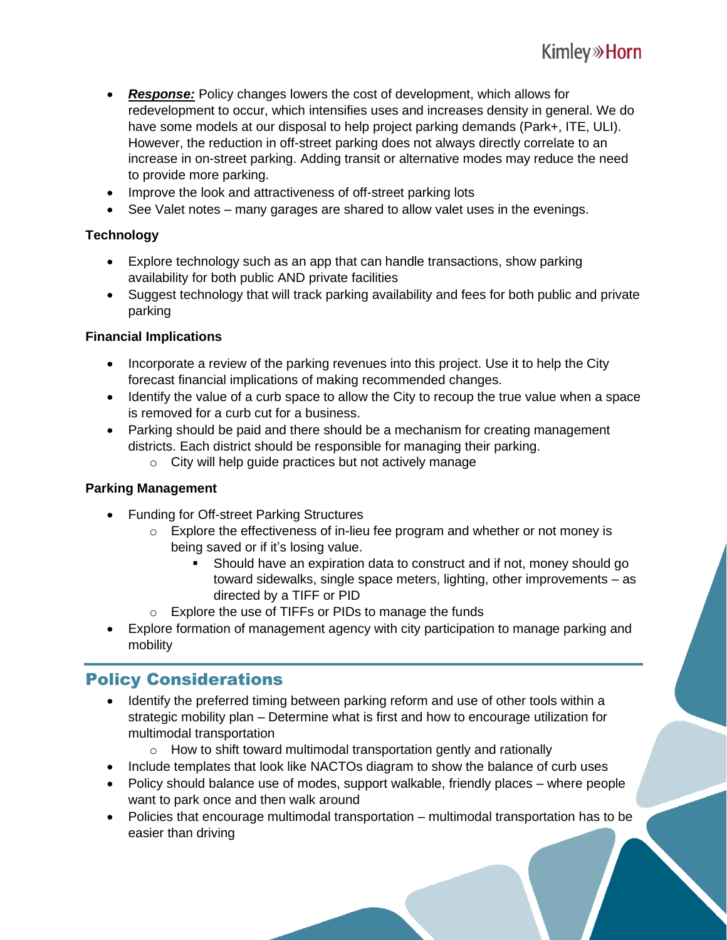- *Response:* Policy changes lowers the cost of development, which allows for redevelopment to occur, which intensifies uses and increases density in general. We do have some models at our disposal to help project parking demands (Park+, ITE, ULI). However, the reduction in off-street parking does not always directly correlate to an increase in on-street parking. Adding transit or alternative modes may reduce the need to provide more parking.
- Improve the look and attractiveness of off-street parking lots
- See Valet notes many garages are shared to allow valet uses in the evenings.

#### **Technology**

- Explore technology such as an app that can handle transactions, show parking availability for both public AND private facilities
- Suggest technology that will track parking availability and fees for both public and private parking

#### **Financial Implications**

- Incorporate a review of the parking revenues into this project. Use it to help the City forecast financial implications of making recommended changes.
- Identify the value of a curb space to allow the City to recoup the true value when a space is removed for a curb cut for a business.
- Parking should be paid and there should be a mechanism for creating management districts. Each district should be responsible for managing their parking.
	- o City will help guide practices but not actively manage

#### **Parking Management**

- Funding for Off-street Parking Structures
	- o Explore the effectiveness of in-lieu fee program and whether or not money is being saved or if it's losing value.
		- Should have an expiration data to construct and if not, money should go toward sidewalks, single space meters, lighting, other improvements – as directed by a TIFF or PID
	- o Explore the use of TIFFs or PIDs to manage the funds
- Explore formation of management agency with city participation to manage parking and mobility

### Policy Considerations

- Identify the preferred timing between parking reform and use of other tools within a strategic mobility plan – Determine what is first and how to encourage utilization for multimodal transportation
	- $\circ$  How to shift toward multimodal transportation gently and rationally
- Include templates that look like NACTOs diagram to show the balance of curb uses
- Policy should balance use of modes, support walkable, friendly places where people want to park once and then walk around
- Policies that encourage multimodal transportation multimodal transportation has to be easier than driving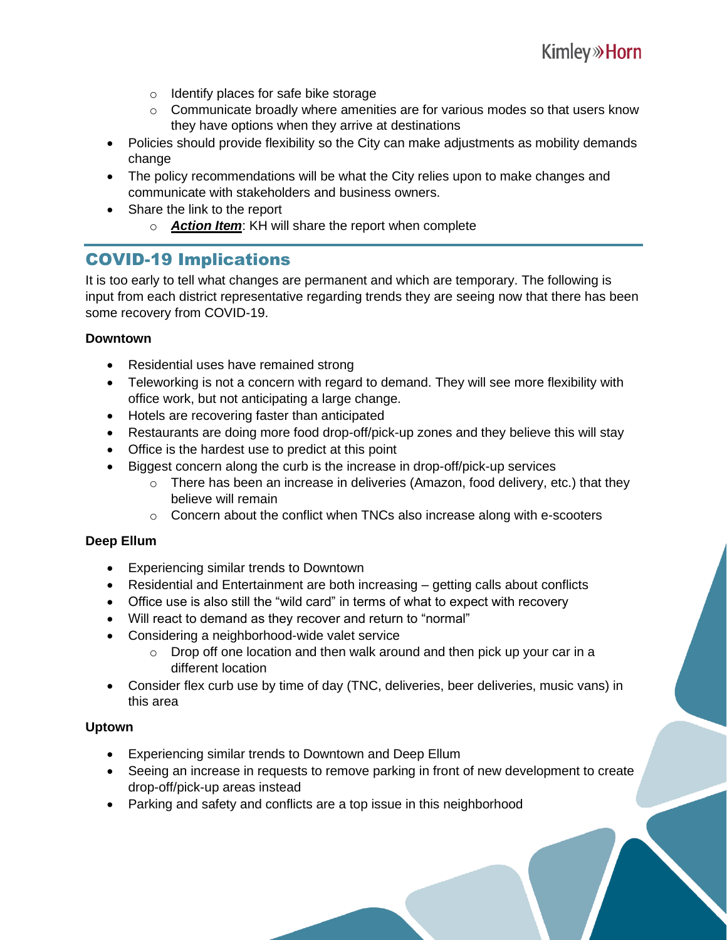- o Identify places for safe bike storage
- $\circ$  Communicate broadly where amenities are for various modes so that users know they have options when they arrive at destinations
- Policies should provide flexibility so the City can make adjustments as mobility demands change
- The policy recommendations will be what the City relies upon to make changes and communicate with stakeholders and business owners.
- Share the link to the report
	- o *Action Item*: KH will share the report when complete

### COVID-19 Implications

It is too early to tell what changes are permanent and which are temporary. The following is input from each district representative regarding trends they are seeing now that there has been some recovery from COVID-19.

#### **Downtown**

- Residential uses have remained strong
- Teleworking is not a concern with regard to demand. They will see more flexibility with office work, but not anticipating a large change.
- Hotels are recovering faster than anticipated
- Restaurants are doing more food drop-off/pick-up zones and they believe this will stay
- Office is the hardest use to predict at this point
- Biggest concern along the curb is the increase in drop-off/pick-up services
	- o There has been an increase in deliveries (Amazon, food delivery, etc.) that they believe will remain
	- o Concern about the conflict when TNCs also increase along with e-scooters

#### **Deep Ellum**

- Experiencing similar trends to Downtown
- Residential and Entertainment are both increasing getting calls about conflicts
- Office use is also still the "wild card" in terms of what to expect with recovery
- Will react to demand as they recover and return to "normal"
- Considering a neighborhood-wide valet service
	- $\circ$  Drop off one location and then walk around and then pick up your car in a different location
- Consider flex curb use by time of day (TNC, deliveries, beer deliveries, music vans) in this area

#### **Uptown**

- Experiencing similar trends to Downtown and Deep Ellum
- Seeing an increase in requests to remove parking in front of new development to create drop-off/pick-up areas instead
- Parking and safety and conflicts are a top issue in this neighborhood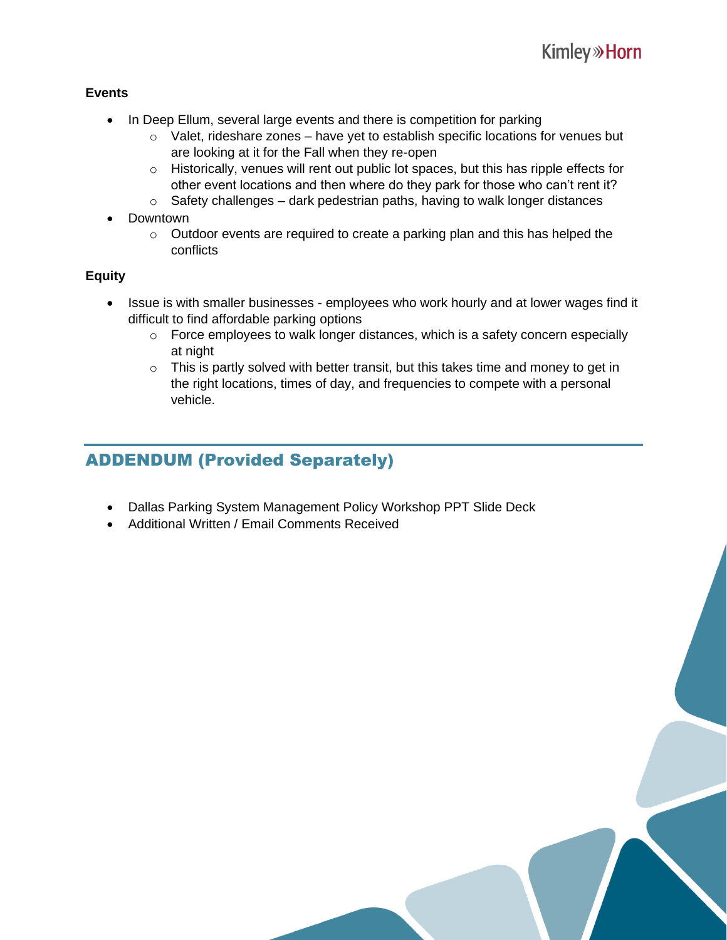#### **Events**

- In Deep Ellum, several large events and there is competition for parking
	- $\circ$  Valet, rideshare zones have yet to establish specific locations for venues but are looking at it for the Fall when they re-open
	- o Historically, venues will rent out public lot spaces, but this has ripple effects for other event locations and then where do they park for those who can't rent it?
	- $\circ$  Safety challenges dark pedestrian paths, having to walk longer distances
- Downtown
	- o Outdoor events are required to create a parking plan and this has helped the conflicts

#### **Equity**

- Issue is with smaller businesses employees who work hourly and at lower wages find it difficult to find affordable parking options
	- o Force employees to walk longer distances, which is a safety concern especially at night
	- $\circ$  This is partly solved with better transit, but this takes time and money to get in the right locations, times of day, and frequencies to compete with a personal vehicle.

### ADDENDUM (Provided Separately)

- Dallas Parking System Management Policy Workshop PPT Slide Deck
- Additional Written / Email Comments Received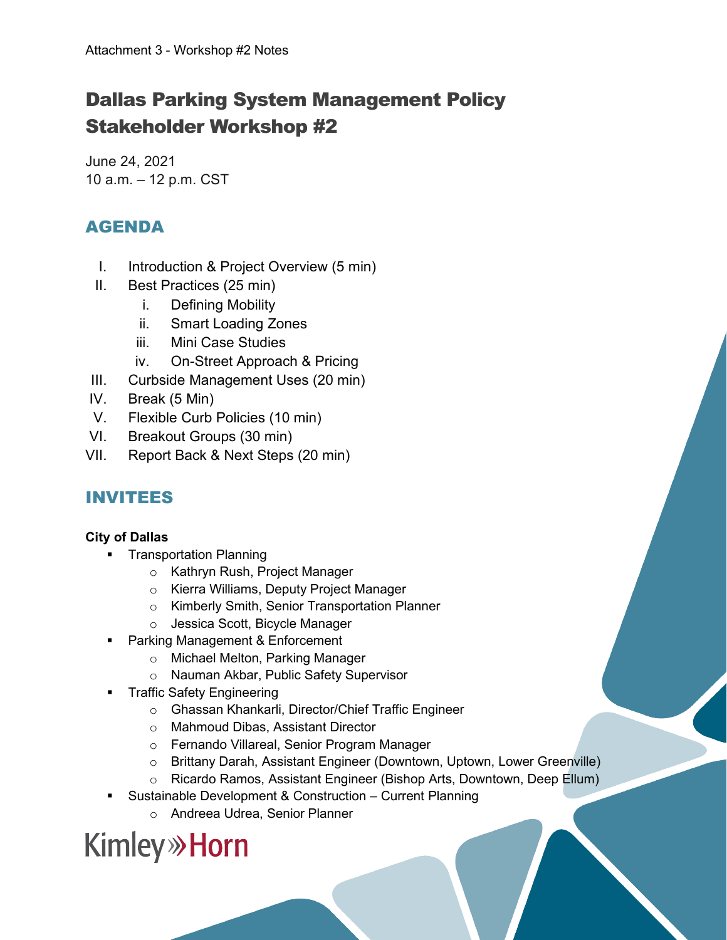# Dallas Parking System Management Policy Stakeholder Workshop #2

June 24, 2021 10 a.m. – 12 p.m. CST

## AGENDA

- I. Introduction & Project Overview (5 min)
- II. Best Practices (25 min)
	- i. Defining Mobility
	- ii. Smart Loading Zones
	- iii. Mini Case Studies
	- iv. On-Street Approach & Pricing
- III. Curbside Management Uses (20 min)
- IV. Break (5 Min)
- V. Flexible Curb Policies (10 min)
- VI. Breakout Groups (30 min)
- VII. Report Back & Next Steps (20 min)

## INVITEES

#### **City of Dallas**

- **Transportation Planning** 
	- o Kathryn Rush, Project Manager
	- o Kierra Williams, Deputy Project Manager
	- o Kimberly Smith, Senior Transportation Planner
	- o Jessica Scott, Bicycle Manager
- Parking Management & Enforcement
	- o Michael Melton, Parking Manager
	- o Nauman Akbar, Public Safety Supervisor
- Traffic Safety Engineering
	- o Ghassan Khankarli, Director/Chief Traffic Engineer
	- o Mahmoud Dibas, Assistant Director
	- o Fernando Villareal, Senior Program Manager
	- o Brittany Darah, Assistant Engineer (Downtown, Uptown, Lower Greenville)
	- o Ricardo Ramos, Assistant Engineer (Bishop Arts, Downtown, Deep Ellum)
- Sustainable Development & Construction Current Planning
	- o Andreea Udrea, Senior Planner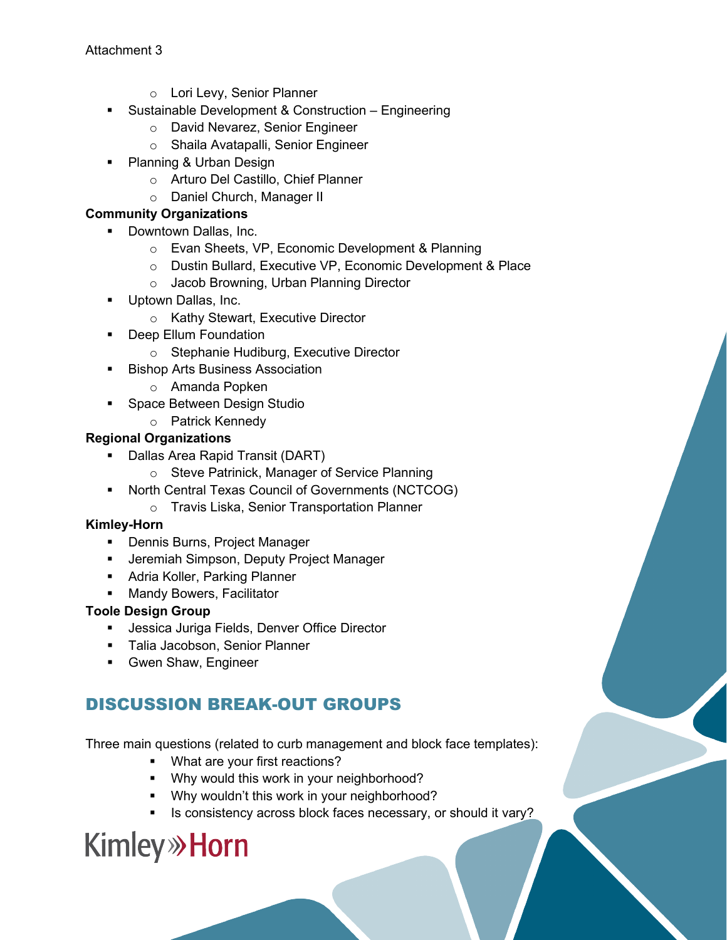- o Lori Levy, Senior Planner
- **Sustainable Development & Construction Engineering** 
	- o David Nevarez, Senior Engineer
	- o Shaila Avatapalli, Senior Engineer
- Planning & Urban Design
	- o Arturo Del Castillo, Chief Planner
	- o Daniel Church, Manager II

#### **Community Organizations**

- Downtown Dallas, Inc.
	- o Evan Sheets, VP, Economic Development & Planning
	- o Dustin Bullard, Executive VP, Economic Development & Place
	- o Jacob Browning, Urban Planning Director
- **Uptown Dallas, Inc.** 
	- o Kathy Stewart, Executive Director
- **•** Deep Ellum Foundation
	- o Stephanie Hudiburg, Executive Director
- **Bishop Arts Business Association** 
	- o Amanda Popken
- **Space Between Design Studio** 
	- o Patrick Kennedy

#### **Regional Organizations**

- **Dallas Area Rapid Transit (DART)** 
	- o Steve Patrinick, Manager of Service Planning
- **North Central Texas Council of Governments (NCTCOG)** 
	- o Travis Liska, Senior Transportation Planner

#### **Kimley-Horn**

- **-** Dennis Burns, Project Manager
- **Jeremiah Simpson, Deputy Project Manager**
- **Adria Koller, Parking Planner**
- **Mandy Bowers, Facilitator**

#### **Toole Design Group**

- **Jessica Juriga Fields, Denver Office Director**
- **Talia Jacobson, Senior Planner**
- **Gwen Shaw, Engineer**

## DISCUSSION BREAK-OUT GROUPS

Three main questions (related to curb management and block face templates):

- **What are your first reactions?**
- **Why would this work in your neighborhood?**
- **•** Why wouldn't this work in your neighborhood?
- Is consistency across block faces necessary, or should it vary?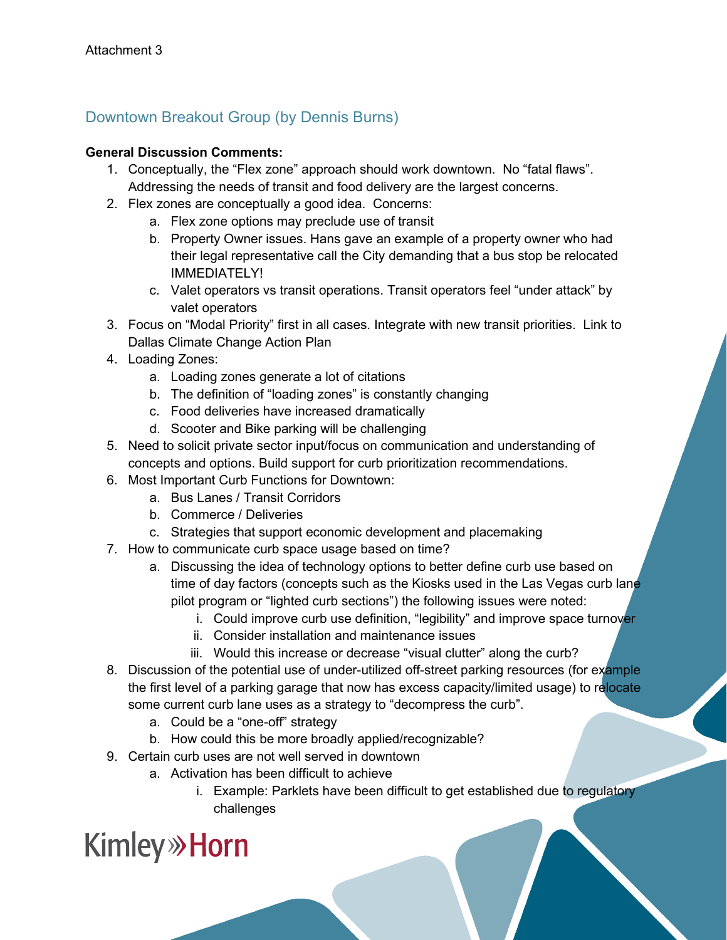### Downtown Breakout Group (by Dennis Burns)

#### **General Discussion Comments:**

- 1. Conceptually, the "Flex zone" approach should work downtown. No "fatal flaws". Addressing the needs of transit and food delivery are the largest concerns.
- 2. Flex zones are conceptually a good idea. Concerns:
	- a. Flex zone options may preclude use of transit
	- b. Property Owner issues. Hans gave an example of a property owner who had their legal representative call the City demanding that a bus stop be relocated IMMEDIATELY!
	- c. Valet operators vs transit operations. Transit operators feel "under attack" by valet operators
- 3. Focus on "Modal Priority" first in all cases. Integrate with new transit priorities. Link to Dallas Climate Change Action Plan
- 4. Loading Zones:
	- a. Loading zones generate a lot of citations
	- b. The definition of "loading zones" is constantly changing
	- c. Food deliveries have increased dramatically
	- d. Scooter and Bike parking will be challenging
- 5. Need to solicit private sector input/focus on communication and understanding of concepts and options. Build support for curb prioritization recommendations.
- 6. Most Important Curb Functions for Downtown:
	- a. Bus Lanes / Transit Corridors
	- b. Commerce / Deliveries
	- c. Strategies that support economic development and placemaking
- 7. How to communicate curb space usage based on time?
	- a. Discussing the idea of technology options to better define curb use based on time of day factors (concepts such as the Kiosks used in the Las Vegas curb lane pilot program or "lighted curb sections") the following issues were noted:
		- i. Could improve curb use definition, "legibility" and improve space turnover
		- ii. Consider installation and maintenance issues
		- iii. Would this increase or decrease "visual clutter" along the curb?
- 8. Discussion of the potential use of under-utilized off-street parking resources (for example the first level of a parking garage that now has excess capacity/limited usage) to relocate some current curb lane uses as a strategy to "decompress the curb".
	- a. Could be a "one-off" strategy
	- b. How could this be more broadly applied/recognizable?
- 9. Certain curb uses are not well served in downtown
	- a. Activation has been difficult to achieve
		- i. Example: Parklets have been difficult to get established due to regulatory challenges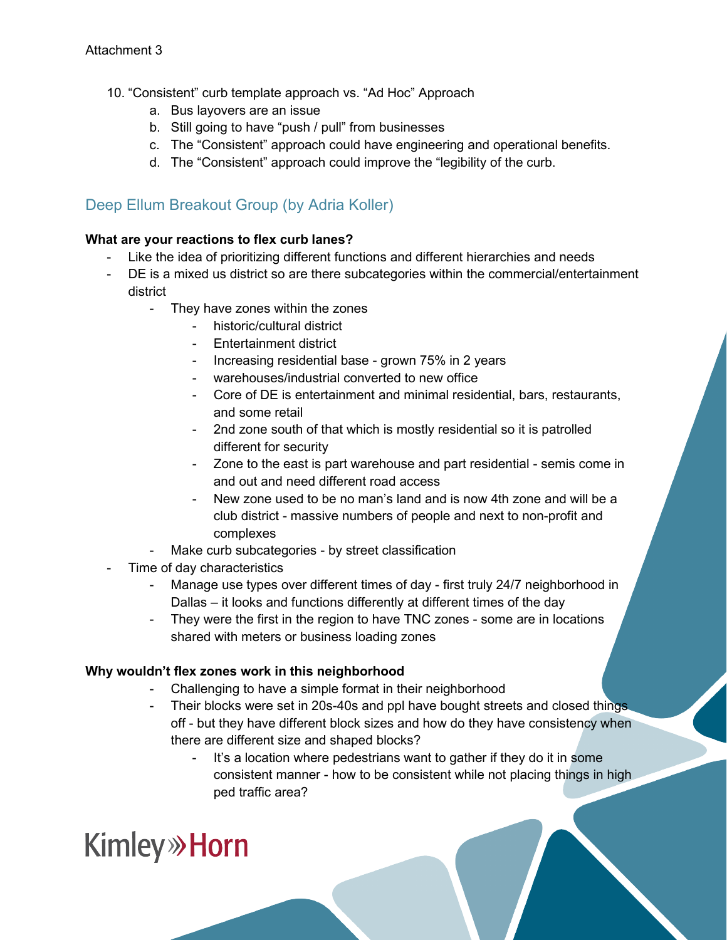- 10. "Consistent" curb template approach vs. "Ad Hoc" Approach
	- a. Bus layovers are an issue
	- b. Still going to have "push / pull" from businesses
	- c. The "Consistent" approach could have engineering and operational benefits.
	- d. The "Consistent" approach could improve the "legibility of the curb.

### Deep Ellum Breakout Group (by Adria Koller)

#### **What are your reactions to flex curb lanes?**

- Like the idea of prioritizing different functions and different hierarchies and needs
- DE is a mixed us district so are there subcategories within the commercial/entertainment district
	- They have zones within the zones
		- historic/cultural district
		- Entertainment district
		- Increasing residential base grown 75% in 2 years
		- warehouses/industrial converted to new office
		- Core of DE is entertainment and minimal residential, bars, restaurants, and some retail
		- 2nd zone south of that which is mostly residential so it is patrolled different for security
		- Zone to the east is part warehouse and part residential semis come in and out and need different road access
		- New zone used to be no man's land and is now 4th zone and will be a club district - massive numbers of people and next to non-profit and complexes
	- Make curb subcategories by street classification
- Time of day characteristics
	- Manage use types over different times of day first truly 24/7 neighborhood in Dallas – it looks and functions differently at different times of the day
	- They were the first in the region to have TNC zones some are in locations shared with meters or business loading zones

#### **Why wouldn't flex zones work in this neighborhood**

- Challenging to have a simple format in their neighborhood
- Their blocks were set in 20s-40s and ppl have bought streets and closed things off - but they have different block sizes and how do they have consistency when there are different size and shaped blocks?
	- It's a location where pedestrians want to gather if they do it in some consistent manner - how to be consistent while not placing things in high ped traffic area?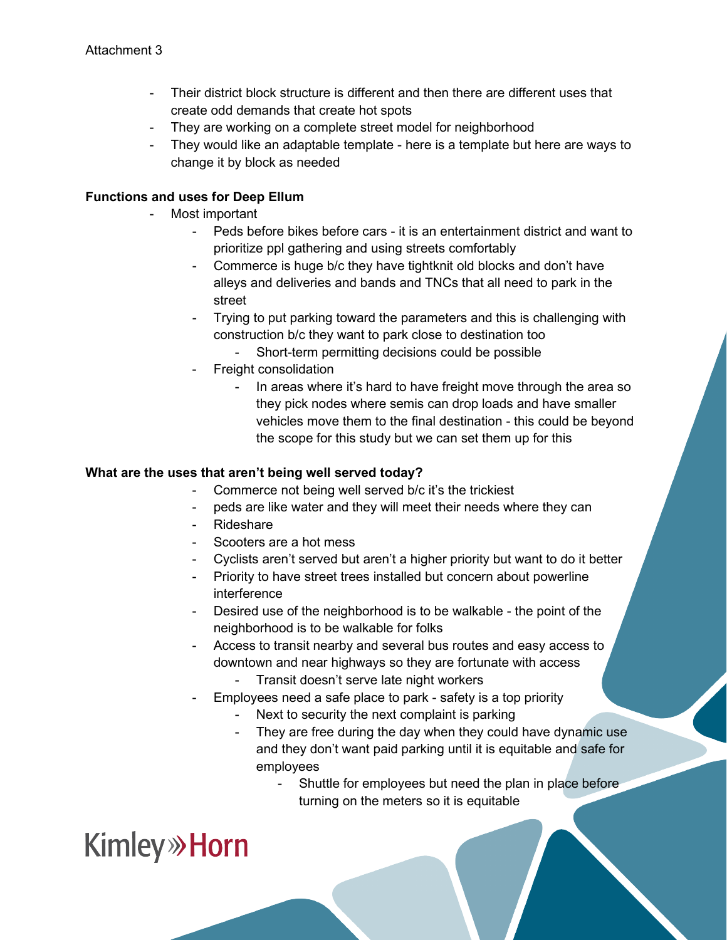- Their district block structure is different and then there are different uses that create odd demands that create hot spots
- They are working on a complete street model for neighborhood
- They would like an adaptable template here is a template but here are ways to change it by block as needed

#### **Functions and uses for Deep Ellum**

- Most important
	- Peds before bikes before cars it is an entertainment district and want to prioritize ppl gathering and using streets comfortably
	- Commerce is huge b/c they have tightknit old blocks and don't have alleys and deliveries and bands and TNCs that all need to park in the street
	- Trying to put parking toward the parameters and this is challenging with construction b/c they want to park close to destination too
		- Short-term permitting decisions could be possible
	- Freight consolidation
		- In areas where it's hard to have freight move through the area so they pick nodes where semis can drop loads and have smaller vehicles move them to the final destination - this could be beyond the scope for this study but we can set them up for this

#### **What are the uses that aren't being well served today?**

- Commerce not being well served b/c it's the trickiest
- peds are like water and they will meet their needs where they can
- Rideshare
- Scooters are a hot mess
- Cyclists aren't served but aren't a higher priority but want to do it better
- Priority to have street trees installed but concern about powerline interference
- Desired use of the neighborhood is to be walkable the point of the neighborhood is to be walkable for folks
- Access to transit nearby and several bus routes and easy access to downtown and near highways so they are fortunate with access
	- Transit doesn't serve late night workers
- Employees need a safe place to park safety is a top priority
	- Next to security the next complaint is parking
	- They are free during the day when they could have dynamic use and they don't want paid parking until it is equitable and safe for employees
		- Shuttle for employees but need the plan in place before turning on the meters so it is equitable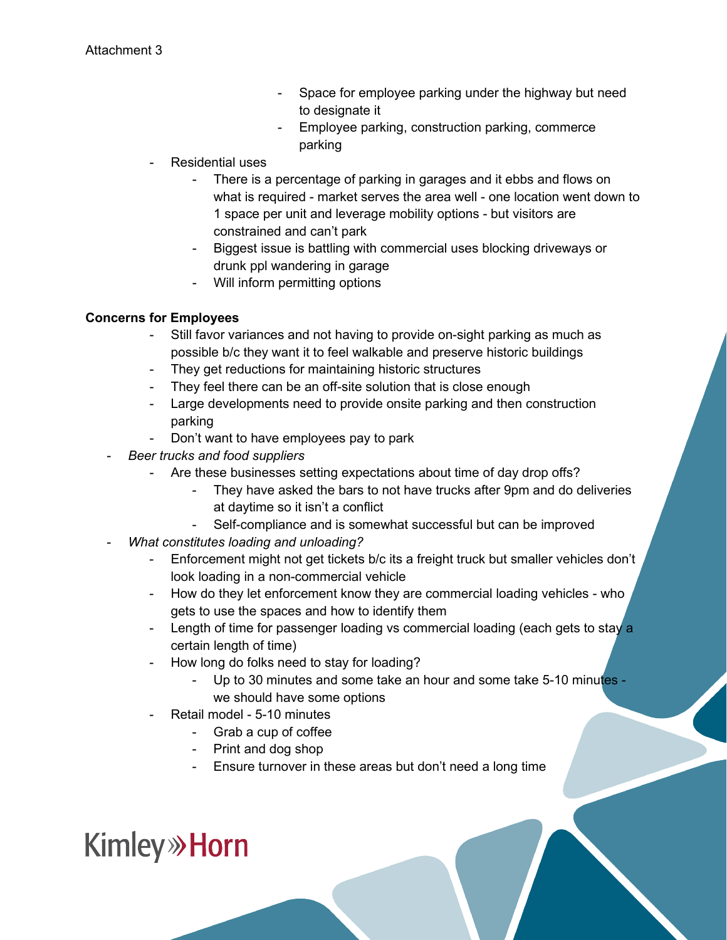- Space for employee parking under the highway but need to designate it
- Employee parking, construction parking, commerce parking
- Residential uses
	- There is a percentage of parking in garages and it ebbs and flows on what is required - market serves the area well - one location went down to 1 space per unit and leverage mobility options - but visitors are constrained and can't park
	- Biggest issue is battling with commercial uses blocking driveways or drunk ppl wandering in garage
	- Will inform permitting options

#### **Concerns for Employees**

- Still favor variances and not having to provide on-sight parking as much as possible b/c they want it to feel walkable and preserve historic buildings
- They get reductions for maintaining historic structures
- They feel there can be an off-site solution that is close enough
- Large developments need to provide onsite parking and then construction parking
- Don't want to have employees pay to park
- *Beer trucks and food suppliers*
	- Are these businesses setting expectations about time of day drop offs?
		- They have asked the bars to not have trucks after 9pm and do deliveries at daytime so it isn't a conflict
		- Self-compliance and is somewhat successful but can be improved
- *What constitutes loading and unloading?*
	- Enforcement might not get tickets b/c its a freight truck but smaller vehicles don't look loading in a non-commercial vehicle
	- How do they let enforcement know they are commercial loading vehicles who gets to use the spaces and how to identify them
	- Length of time for passenger loading vs commercial loading (each gets to stay a certain length of time)
	- How long do folks need to stay for loading?
		- Up to 30 minutes and some take an hour and some take 5-10 minutes we should have some options
	- Retail model 5-10 minutes
		- Grab a cup of coffee
		- Print and dog shop
		- Ensure turnover in these areas but don't need a long time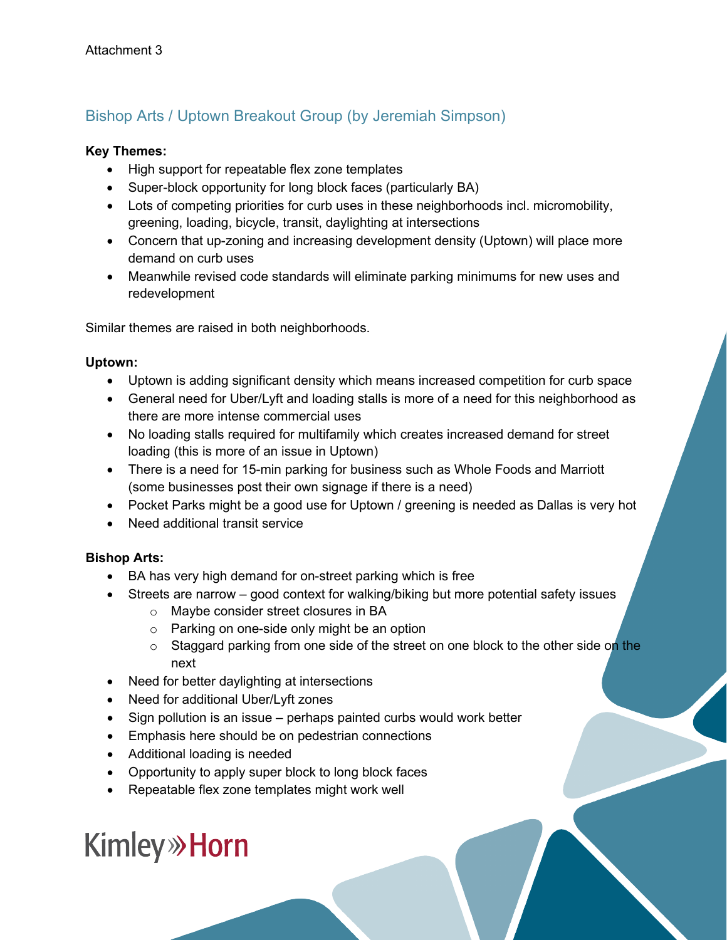## Bishop Arts / Uptown Breakout Group (by Jeremiah Simpson)

#### **Key Themes:**

- High support for repeatable flex zone templates
- Super-block opportunity for long block faces (particularly BA)
- Lots of competing priorities for curb uses in these neighborhoods incl. micromobility, greening, loading, bicycle, transit, daylighting at intersections
- Concern that up-zoning and increasing development density (Uptown) will place more demand on curb uses
- Meanwhile revised code standards will eliminate parking minimums for new uses and redevelopment

Similar themes are raised in both neighborhoods.

#### **Uptown:**

- Uptown is adding significant density which means increased competition for curb space
- General need for Uber/Lyft and loading stalls is more of a need for this neighborhood as there are more intense commercial uses
- No loading stalls required for multifamily which creates increased demand for street loading (this is more of an issue in Uptown)
- There is a need for 15-min parking for business such as Whole Foods and Marriott (some businesses post their own signage if there is a need)
- Pocket Parks might be a good use for Uptown / greening is needed as Dallas is very hot
- Need additional transit service

#### **Bishop Arts:**

- BA has very high demand for on-street parking which is free
- Streets are narrow good context for walking/biking but more potential safety issues
	- o Maybe consider street closures in BA
	- o Parking on one-side only might be an option
	- $\circ$  Staggard parking from one side of the street on one block to the other side on the next
- Need for better daylighting at intersections
- Need for additional Uber/Lyft zones
- Sign pollution is an issue perhaps painted curbs would work better
- Emphasis here should be on pedestrian connections
- Additional loading is needed
- Opportunity to apply super block to long block faces
- Repeatable flex zone templates might work well